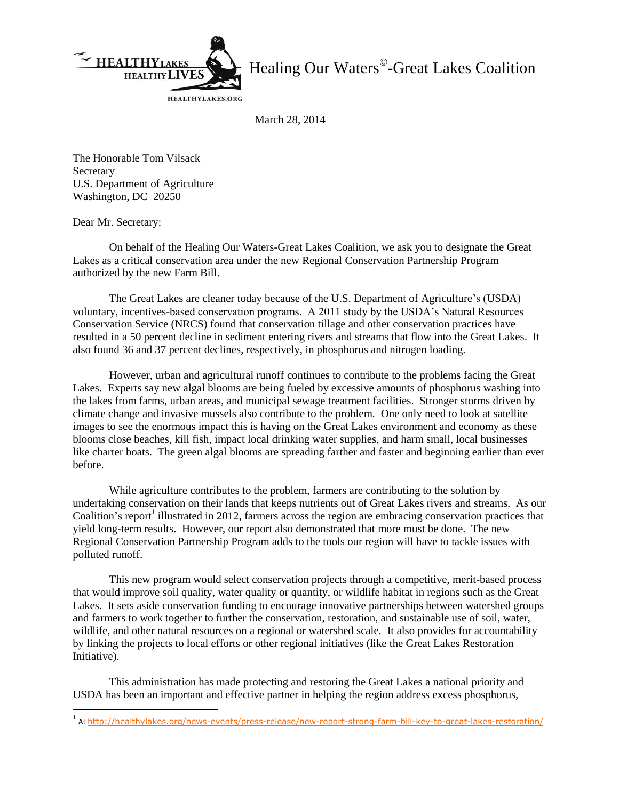

Healing Our Waters<sup>©</sup>-Great Lakes Coalition

March 28, 2014

The Honorable Tom Vilsack **Secretary** U.S. Department of Agriculture Washington, DC 20250

Dear Mr. Secretary:

On behalf of the Healing Our Waters-Great Lakes Coalition, we ask you to designate the Great Lakes as a critical conservation area under the new Regional Conservation Partnership Program authorized by the new Farm Bill.

The Great Lakes are cleaner today because of the U.S. Department of Agriculture's (USDA) voluntary, incentives-based conservation programs. A 2011 study by the USDA's Natural Resources Conservation Service (NRCS) found that conservation tillage and other conservation practices have resulted in a 50 percent decline in sediment entering rivers and streams that flow into the Great Lakes. It also found 36 and 37 percent declines, respectively, in phosphorus and nitrogen loading.

However, urban and agricultural runoff continues to contribute to the problems facing the Great Lakes. Experts say new algal blooms are being fueled by excessive amounts of phosphorus washing into the lakes from farms, urban areas, and municipal sewage treatment facilities. Stronger storms driven by climate change and invasive mussels also contribute to the problem. One only need to look at satellite images to see the enormous impact this is having on the Great Lakes environment and economy as these blooms close beaches, kill fish, impact local drinking water supplies, and harm small, local businesses like charter boats. The green algal blooms are spreading farther and faster and beginning earlier than ever before.

While agriculture contributes to the problem, farmers are contributing to the solution by undertaking conservation on their lands that keeps nutrients out of Great Lakes rivers and streams. As our Coalition's report<sup>1</sup> illustrated in 2012, farmers across the region are embracing conservation practices that yield long-term results. However, our report also demonstrated that more must be done. The new Regional Conservation Partnership Program adds to the tools our region will have to tackle issues with polluted runoff.

This new program would select conservation projects through a competitive, merit-based process that would improve soil quality, water quality or quantity, or wildlife habitat in regions such as the Great Lakes. It sets aside conservation funding to encourage innovative partnerships between watershed groups and farmers to work together to further the conservation, restoration, and sustainable use of soil, water, wildlife, and other natural resources on a regional or watershed scale. It also provides for accountability by linking the projects to local efforts or other regional initiatives (like the Great Lakes Restoration Initiative).

This administration has made protecting and restoring the Great Lakes a national priority and USDA has been an important and effective partner in helping the region address excess phosphorus,

 1 At <http://healthylakes.org/news-events/press-release/new-report-strong-farm-bill-key-to-great-lakes-restoration/>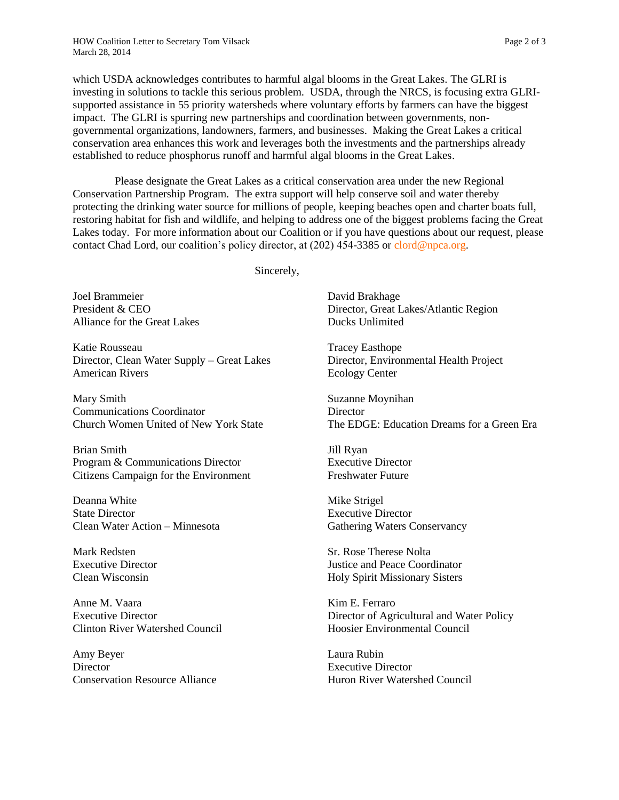which USDA acknowledges contributes to harmful algal blooms in the Great Lakes. The GLRI is investing in solutions to tackle this serious problem. USDA, through the NRCS, is focusing extra GLRIsupported assistance in 55 priority watersheds where voluntary efforts by farmers can have the biggest impact. The GLRI is spurring new partnerships and coordination between governments, nongovernmental organizations, landowners, farmers, and businesses. Making the Great Lakes a critical conservation area enhances this work and leverages both the investments and the partnerships already established to reduce phosphorus runoff and harmful algal blooms in the Great Lakes.

 Please designate the Great Lakes as a critical conservation area under the new Regional Conservation Partnership Program. The extra support will help conserve soil and water thereby protecting the drinking water source for millions of people, keeping beaches open and charter boats full, restoring habitat for fish and wildlife, and helping to address one of the biggest problems facing the Great Lakes today. For more information about our Coalition or if you have questions about our request, please contact Chad Lord, our coalition's policy director, at (202) 454-3385 or [clord@npca.org.](mailto:clord@npca.org)

Sincerely,

Joel Brammeier President & CEO Alliance for the Great Lakes

Katie Rousseau Director, Clean Water Supply – Great Lakes American Rivers

Mary Smith Communications Coordinator Church Women United of New York State

Brian Smith Program & Communications Director Citizens Campaign for the Environment

Deanna White State Director Clean Water Action – Minnesota

Mark Redsten Executive Director Clean Wisconsin

Anne M. Vaara Executive Director Clinton River Watershed Council

Amy Beyer **Director** Conservation Resource Alliance

David Brakhage Director, Great Lakes/Atlantic Region Ducks Unlimited

Tracey Easthope Director, Environmental Health Project Ecology Center

Suzanne Moynihan **Director** The EDGE: Education Dreams for a Green Era

Jill Ryan Executive Director Freshwater Future

Mike Strigel Executive Director Gathering Waters Conservancy

Sr. Rose Therese Nolta Justice and Peace Coordinator Holy Spirit Missionary Sisters

Kim E. Ferraro Director of Agricultural and Water Policy Hoosier Environmental Council

Laura Rubin Executive Director Huron River Watershed Council